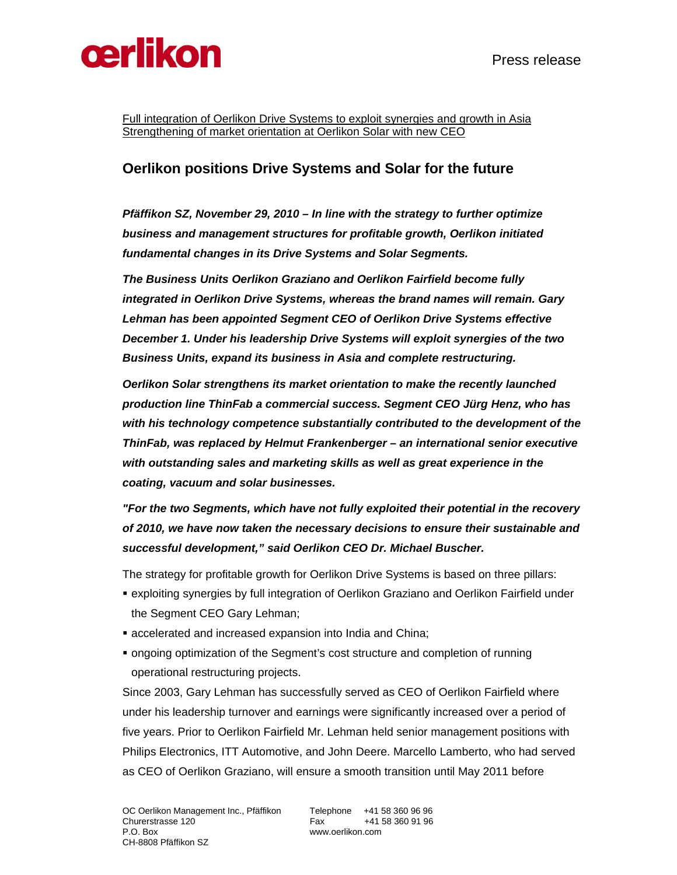

Full integration of Oerlikon Drive Systems to exploit synergies and growth in Asia Strengthening of market orientation at Oerlikon Solar with new CEO

## **Oerlikon positions Drive Systems and Solar for the future**

*Pfäffikon SZ, November 29, 2010 – In line with the strategy to further optimize business and management structures for profitable growth, Oerlikon initiated fundamental changes in its Drive Systems and Solar Segments.* 

*The Business Units Oerlikon Graziano and Oerlikon Fairfield become fully integrated in Oerlikon Drive Systems, whereas the brand names will remain. Gary Lehman has been appointed Segment CEO of Oerlikon Drive Systems effective December 1. Under his leadership Drive Systems will exploit synergies of the two Business Units, expand its business in Asia and complete restructuring.* 

*Oerlikon Solar strengthens its market orientation to make the recently launched production line ThinFab a commercial success. Segment CEO Jürg Henz, who has with his technology competence substantially contributed to the development of the ThinFab, was replaced by Helmut Frankenberger – an international senior executive with outstanding sales and marketing skills as well as great experience in the coating, vacuum and solar businesses.* 

*"For the two Segments, which have not fully exploited their potential in the recovery of 2010, we have now taken the necessary decisions to ensure their sustainable and successful development," said Oerlikon CEO Dr. Michael Buscher.* 

The strategy for profitable growth for Oerlikon Drive Systems is based on three pillars:

- exploiting synergies by full integration of Oerlikon Graziano and Oerlikon Fairfield under the Segment CEO Gary Lehman;
- accelerated and increased expansion into India and China;
- ongoing optimization of the Segment's cost structure and completion of running operational restructuring projects.

Since 2003, Gary Lehman has successfully served as CEO of Oerlikon Fairfield where under his leadership turnover and earnings were significantly increased over a period of five years. Prior to Oerlikon Fairfield Mr. Lehman held senior management positions with Philips Electronics, ITT Automotive, and John Deere. Marcello Lamberto, who had served as CEO of Oerlikon Graziano, will ensure a smooth transition until May 2011 before

www.oerlikon.com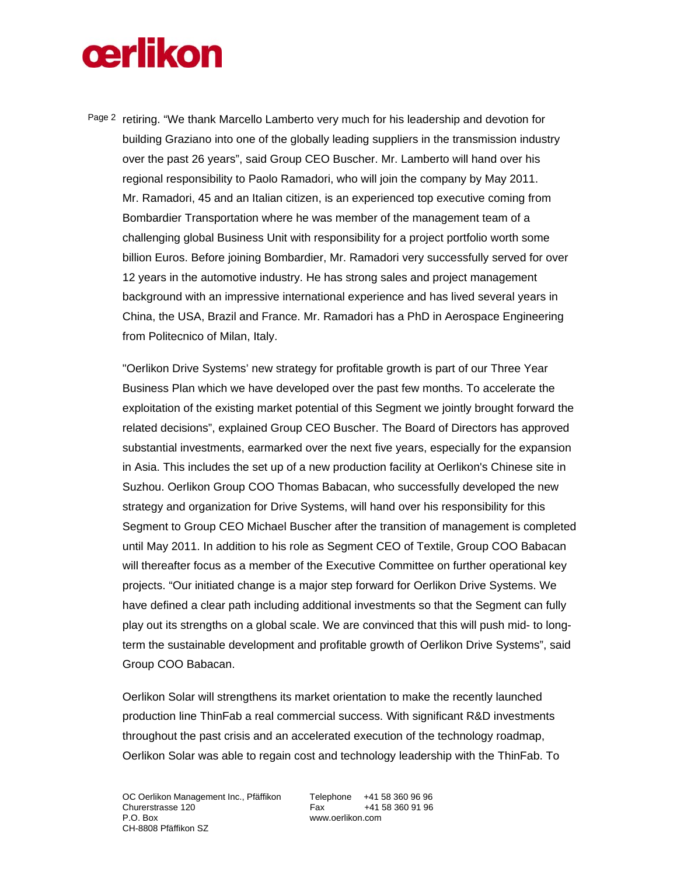## **œrlikon**

Page 2 retiring. "We thank Marcello Lamberto very much for his leadership and devotion for building Graziano into one of the globally leading suppliers in the transmission industry over the past 26 years", said Group CEO Buscher. Mr. Lamberto will hand over his regional responsibility to Paolo Ramadori, who will join the company by May 2011. Mr. Ramadori, 45 and an Italian citizen, is an experienced top executive coming from Bombardier Transportation where he was member of the management team of a challenging global Business Unit with responsibility for a project portfolio worth some billion Euros. Before joining Bombardier, Mr. Ramadori very successfully served for over 12 years in the automotive industry. He has strong sales and project management background with an impressive international experience and has lived several years in China, the USA, Brazil and France. Mr. Ramadori has a PhD in Aerospace Engineering from Politecnico of Milan, Italy.

"Oerlikon Drive Systems' new strategy for profitable growth is part of our Three Year Business Plan which we have developed over the past few months. To accelerate the exploitation of the existing market potential of this Segment we jointly brought forward the related decisions", explained Group CEO Buscher. The Board of Directors has approved substantial investments, earmarked over the next five years, especially for the expansion in Asia. This includes the set up of a new production facility at Oerlikon's Chinese site in Suzhou. Oerlikon Group COO Thomas Babacan, who successfully developed the new strategy and organization for Drive Systems, will hand over his responsibility for this Segment to Group CEO Michael Buscher after the transition of management is completed until May 2011. In addition to his role as Segment CEO of Textile, Group COO Babacan will thereafter focus as a member of the Executive Committee on further operational key projects. "Our initiated change is a major step forward for Oerlikon Drive Systems. We have defined a clear path including additional investments so that the Segment can fully play out its strengths on a global scale. We are convinced that this will push mid- to longterm the sustainable development and profitable growth of Oerlikon Drive Systems", said Group COO Babacan.

Oerlikon Solar will strengthens its market orientation to make the recently launched production line ThinFab a real commercial success. With significant R&D investments throughout the past crisis and an accelerated execution of the technology roadmap, Oerlikon Solar was able to regain cost and technology leadership with the ThinFab. To

www.oerlikon.com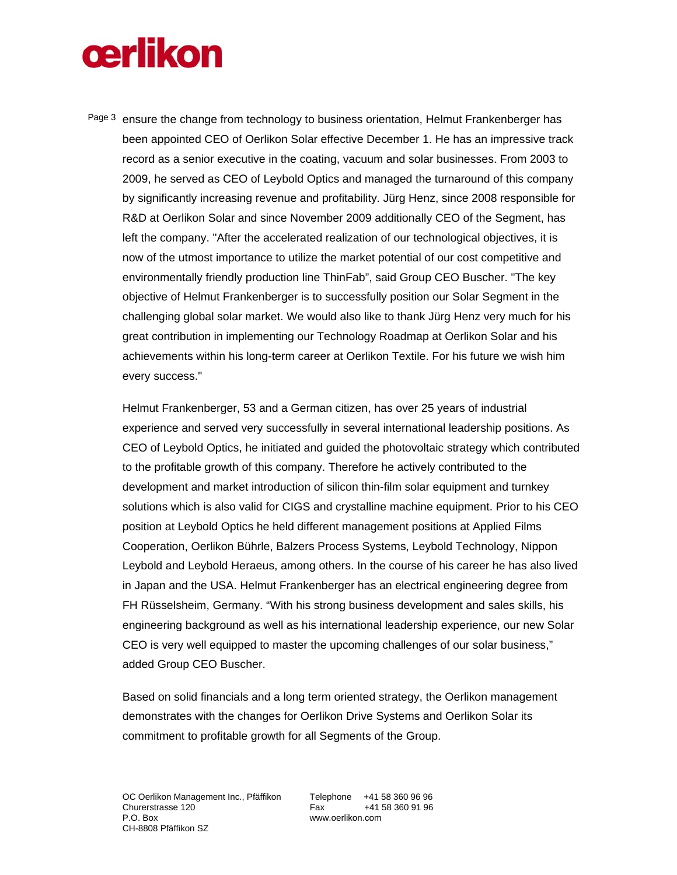## **œrlikon**

Page 3 ensure the change from technology to business orientation, Helmut Frankenberger has been appointed CEO of Oerlikon Solar effective December 1. He has an impressive track record as a senior executive in the coating, vacuum and solar businesses. From 2003 to 2009, he served as CEO of Leybold Optics and managed the turnaround of this company by significantly increasing revenue and profitability. Jürg Henz, since 2008 responsible for R&D at Oerlikon Solar and since November 2009 additionally CEO of the Segment, has left the company. "After the accelerated realization of our technological objectives, it is now of the utmost importance to utilize the market potential of our cost competitive and environmentally friendly production line ThinFab", said Group CEO Buscher. "The key objective of Helmut Frankenberger is to successfully position our Solar Segment in the challenging global solar market. We would also like to thank Jürg Henz very much for his great contribution in implementing our Technology Roadmap at Oerlikon Solar and his achievements within his long-term career at Oerlikon Textile. For his future we wish him every success."

Helmut Frankenberger, 53 and a German citizen, has over 25 years of industrial experience and served very successfully in several international leadership positions. As CEO of Leybold Optics, he initiated and guided the photovoltaic strategy which contributed to the profitable growth of this company. Therefore he actively contributed to the development and market introduction of silicon thin-film solar equipment and turnkey solutions which is also valid for CIGS and crystalline machine equipment. Prior to his CEO position at Leybold Optics he held different management positions at Applied Films Cooperation, Oerlikon Bührle, Balzers Process Systems, Leybold Technology, Nippon Leybold and Leybold Heraeus, among others. In the course of his career he has also lived in Japan and the USA. Helmut Frankenberger has an electrical engineering degree from FH Rüsselsheim, Germany. "With his strong business development and sales skills, his engineering background as well as his international leadership experience, our new Solar CEO is very well equipped to master the upcoming challenges of our solar business," added Group CEO Buscher.

Based on solid financials and a long term oriented strategy, the Oerlikon management demonstrates with the changes for Oerlikon Drive Systems and Oerlikon Solar its commitment to profitable growth for all Segments of the Group.